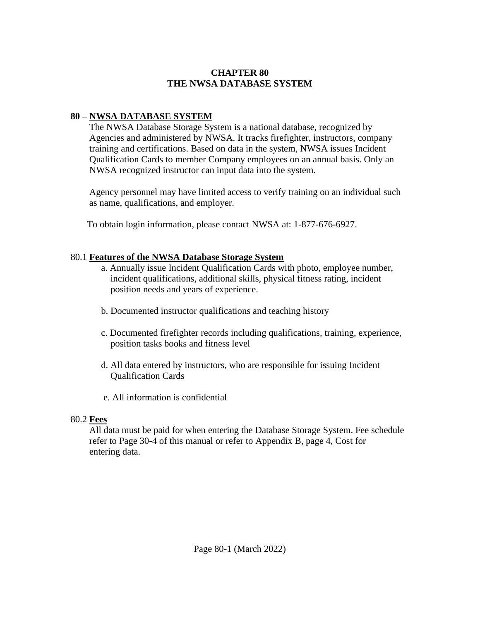## **CHAPTER 80 THE NWSA DATABASE SYSTEM**

# **80 – NWSA DATABASE SYSTEM**

 The NWSA Database Storage System is a national database, recognized by Agencies and administered by NWSA. It tracks firefighter, instructors, company training and certifications. Based on data in the system, NWSA issues Incident Qualification Cards to member Company employees on an annual basis. Only an NWSA recognized instructor can input data into the system.

 Agency personnel may have limited access to verify training on an individual such as name, qualifications, and employer.

To obtain login information, please contact NWSA at: 1-877-676-6927.

## 80.1 **Features of the NWSA Database Storage System**

- a. Annually issue Incident Qualification Cards with photo, employee number, incident qualifications, additional skills, physical fitness rating, incident position needs and years of experience.
- b. Documented instructor qualifications and teaching history
- c. Documented firefighter records including qualifications, training, experience, position tasks books and fitness level
- d. All data entered by instructors, who are responsible for issuing Incident Qualification Cards
- e. All information is confidential

#### 80.2 **Fees**

 All data must be paid for when entering the Database Storage System. Fee schedule refer to Page 30-4 of this manual or refer to Appendix B, page 4, Cost for entering data.